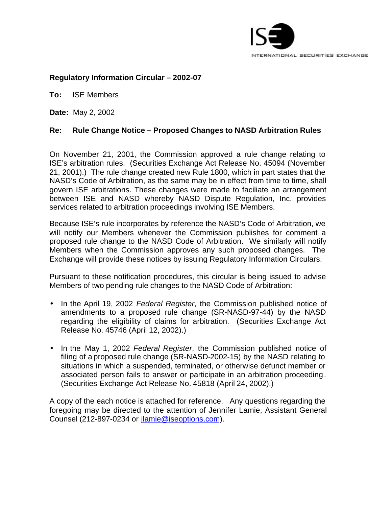

# **Regulatory Information Circular – 2002-07**

**To:** ISE Members

**Date:** May 2, 2002

# **Re: Rule Change Notice – Proposed Changes to NASD Arbitration Rules**

On November 21, 2001, the Commission approved a rule change relating to ISE's arbitration rules. (Securities Exchange Act Release No. 45094 (November 21, 2001).) The rule change created new Rule 1800, which in part states that the NASD's Code of Arbitration, as the same may be in effect from time to time, shall govern ISE arbitrations. These changes were made to faciliate an arrangement between ISE and NASD whereby NASD Dispute Regulation, Inc. provides services related to arbitration proceedings involving ISE Members.

Because ISE's rule incorporates by reference the NASD's Code of Arbitration, we will notify our Members whenever the Commission publishes for comment a proposed rule change to the NASD Code of Arbitration. We similarly will notify Members when the Commission approves any such proposed changes. The Exchange will provide these notices by issuing Regulatory Information Circulars.

Pursuant to these notification procedures, this circular is being issued to advise Members of two pending rule changes to the NASD Code of Arbitration:

- In the April 19, 2002 *Federal Register*, the Commission published notice of amendments to a proposed rule change (SR-NASD-97-44) by the NASD regarding the eligibility of claims for arbitration. (Securities Exchange Act Release No. 45746 (April 12, 2002).)
- In the May 1, 2002 *Federal Register*, the Commission published notice of filing of a proposed rule change (SR-NASD-2002-15) by the NASD relating to situations in which a suspended, terminated, or otherwise defunct member or associated person fails to answer or participate in an arbitration proceeding. (Securities Exchange Act Release No. 45818 (April 24, 2002).)

A copy of the each notice is attached for reference. Any questions regarding the foregoing may be directed to the attention of Jennifer Lamie, Assistant General Counsel (212-897-0234 or jlamie@iseoptions.com).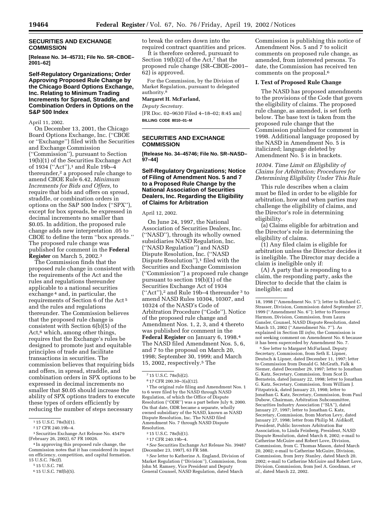# **SECURITIES AND EXCHANGE COMMISSION**

**[Release No. 34–45731; File No. SR–CBOE– 2001–62]**

## **Self-Regulatory Organizations; Order Approving Proposed Rule Change by the Chicago Board Options Exchange, Inc. Relating to Minimum Trading Increments for Spread, Straddle, and Combination Orders in Options on the S&P 500 Index**

April 11, 2002.

On December 13, 2001, the Chicago Board Options Exchange, Inc. (''CBOE or ''Exchange'') filed with the Securities and Exchange Commission (''Commission''), pursuant to Section 19(b)(1) of the Securities Exchange Act of 1934 ("Act"),<sup>1</sup> and Rule 19b–4 thereunder,<sup>2</sup> a proposed rule change to amend CBOE Rule 6.42, *Minimum Increments for Bids and Offers,* to require that bids and offers on spread, straddle, or combination orders in options on the S&P 500 Index (''SPX''), except for box spreads, be expressed in decimal increments no smaller than \$0.05. In addition, the proposed rule change adds new interpretation .05 to CBOE to define the term ''box spreads.'' The proposed rule change was published for comment in the **Federal Register** on March 5, 2002.3

The Commission finds that the proposed rule change in consistent with the requirements of the Act and the rules and regulations thereunder applicable to a national securities exchange 4 and, in particular, the requirements of Section 6 of the Act 5 and the rules and regulations thereunder. The Commission believes that the proposed rule change is consistent with Section 6(b)(5) of the Act,<sup>6</sup> which, among other things, requires that the Exchange's rules be designed to promote just and equitable principles of trade and facilitate transactions in securities. The commission believes that requiring bids and offers, in spread, straddle, and combination orders in SPX options to be expressed in decimal increments no smaller that \$0.05 should increase the ability of SPX options traders to execute these types of orders efficiently by reducing the number of steps necessary

to break the orders down into the required contract quantities and prices.

It is therefore ordered, pursuant to Section 19(b)(2) of the Act, $^7$  that the proposed rule change (SR–CBOE–2001– 62) is approved.

For the Commission, by the Division of Market Regulation, pursuant to delegated authority.8

#### **Margaret H. McFarland,**

*Deputy Secretary.* [FR Doc. 02–9630 Filed 4–18–02; 8:45 am] **BILLING CODE 8010–01–M**

# **SECURITIES AND EXCHANGE COMMISSION**

**[Release No. 34–45746; File No. SR–NASD– 97–44]**

## **Self-Regulatory Organizations; Notice of Filing of Amendment Nos. 5 and 7 to a Proposed Rule Change by the National Association of Securities Dealers, Inc. Regarding the Eligibility of Claims for Arbitration**

## April 12, 2002.

On June 24, 1997, the National Association of Securities Dealers, Inc. (''NASD''), through its wholly owned subsidiaries NASD Regulation, Inc. (''NASD Regulation'') and NASD Dispute Resolution, Inc. (''NASD Dispute Resolution"),<sup>1</sup> filed with the Securities and Exchange Commission (''Commission'') a proposed rule change pursuant to section 19(b)(1) of the Securities Exchange Act of 1934 (''Act''),2 and Rule 19b–4 thereunder 3 to amend NASD Rules 10304, 10307, and 10324 of the NASD's Code of Arbitration Procedure (''Code''). Notice of the proposed rule change and Amendment Nos. 1, 2, 3, and 4 thereto was published for comment in the **Federal Register** on January 6, 1998.4 The NASD filed Amendment Nos. 5, 6, and 7 to the proposal on March 20, 1998; September 30, 1999; and March 15, 2002, respectively.5 The

<sup>1</sup>The original rule filing and Amendment Nos. 1 to 6 were filed by the NASD through NASD Regulation, of which the Office of Dispute Resolution (''ODR'') was a part before July 9, 2000. On that date, ODR became a separate, wholly owned subsidiary of the NASD, known as NASD Dispute Resolution, Inc. The NASD filed Amendment No. 7 through NASD Dispute Resolution.

2 15 U.S.C. 78s(b)(1).

4*See* Securities Exchange Act Release No. 39487 (December 23, 1997), 63 FR 588.

5*See* letter to Katherine A. England, Division of Market Regulation (''Division''), Commission, from John M. Ramsey, Vice President and Deputy General Counsel, NASD Regulation, dated March

Commission is publishing this notice of Amendment Nos. 5 and 7 to solicit comments on proposed rule change, as amended, from interested persons. To date, the Commission has received ten comments on the proposal.6

## **I. Text of Proposed Rule Change**

The NASD has proposed amendments to the provisions of the Code that govern the eligibility of claims. The proposed rule change, as amended, is set forth below. The base text is taken from the proposed rule change that the Commission published for comment in 1998. Additional language proposed by the NASD in Amendment No. 5 is italicized; language deleted by Amendment No. 5 is in brackets.

# *10304. Time Limit on Eligibility of Claims for Arbitration; Procedures for Determining Eligibility Under This Rule*

This rule describes when a claim must be filed in order to be eligible for arbitration, how and when parties may challenge the eligibility of claims, and the Director's role in determining eligibility.

(a) Claims eligible for arbitration and the Director's role in determining the eligibility of claims.

(1) Any filed claim is eligible for arbitration unless the Director decides it is ineligible. The Director may decide a claim is ineligible only if:

(A) A party that is responding to a claim, the responding party, asks the Director to decide that the claim is ineligible; and

6*See* letter to Margaret McFarland, Deputy Secretary, Commission, from Seth E. Lipner, Deutsch & Lipner, dated December 11, 1997; letter to Commission from Donald G. McGrath, Falk & Siemer, dated December 29, 1997; letter to Jonathan G. Katz, Secretary, Commission, from Scot D. Bernstein, dated January 22, 1998; letter to Jonathan G. Katz, Secretary, Commission, from William J. Fitzpatrick, dated January 23, 1998; letter to Jonathan G. Katz, Secretary, Commission, from Paul Dubow, Chairman, Arbitration Subcommittee, Securities Industry Association (''SIA''), dated January 27, 1997; letter to Jonathan G. Katz, Secretary, Commission, from Morton Levy, dated January 27, 1998; letter from Philip M. Aidikoff, President, Public Investors Arbitration Bar Association, to Linda Feinberg, President, NASD Dispute Resolution, dated March 8, 2002; e-mail to Catherine McGuire and Robert Love, Division, Commission, from C. Thomas Mason, dated March 20, 2002; e-mail to Catherine McGuire, Division, Commission, from Jerry Stanley, dated March 20, 2002; e-mail to Catherine McGuire and Robert Love, Division, Commission, from Joel A. Goodman, *et al.,* dated March 22, 2002.

<sup>1</sup> 15 U.S.C. 78s(b)(1).

<sup>2</sup> 17 CFR 240.19b–4.

<sup>3</sup>Securities Exchange Act Release No. 45479 (February 26, 2002), 67 FR 10026.

<sup>4</sup> In approving this proposed rule change, the Commission notes that it has considered its impact on efficiency, competition, and capital formation. 15 U.S.C. 78c(f).

<sup>5</sup> 15 U.S.C. 78f.

<sup>6</sup> 15 U.S.C. 78f(b)(5).

<sup>7</sup> 15 U.S.C. 78s(b)(2).

<sup>8</sup> 17 CFR 200.30–3(a)(12).

<sup>3</sup> 17 CFR 240.19b–4.

<sup>18, 1998 (&#</sup>x27;'Amendment No. 5''); letter to Richard C. Strasser, Division, Commission dated September 27, 1999 (''Amendment No. 6''); letter to Florence Harmon, Division, Commission, from Laura Gansler, Counsel, NASD Dispute Resolution, dated March 15, 2002 (''Amendment No. 7''). As explained in Section III *infra,* the Commission is not seeking comment on Amendment No. 6 because it has been superceded by Amendment No. 7.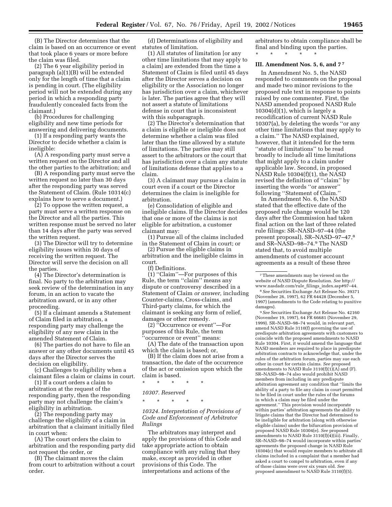(B) The Director determines that the claim is based on an occurrence or event that took place 6 years or more before the claim was filed.

(2) The 6 year eligibility period in paragraph (a)(1)(B) will be extended only for the length of time that a claim is pending in court. (The eligibility period will not be extended during any period in which a responding party fraudulently concealed facts from the claimant.)

(b) Procedures for challenging eligibility and new time periods for answering and delivering documents.

(1) If a responding party wants the Director to decide whether a claim is ineligible:

(A) A responding party must serve a written request on the Director and all the other parties to the arbitration; and

(B) A responding party must serve the written request no later than 30 days after the responding party was served the Statement of Claim. (Rule 10314(c) explains how to serve a document.)

(2) To oppose the written request, a party must serve a written response on the Director and all the parties. This written response must be served no later than 14 days after the party was served the written request.

(3) The Director will try to determine eligibility issues within 30 days of receiving the written request. The Director will serve the decision on all the parties.

(4) The Director's determination is final. No party to the arbitration may seek review of the determination in any forum, in an action to vacate the arbitration award, or in any other proceeding.

(5) If a claimant amends a Statement of Claim filed in arbitration, a responding party may challenge the eligibility of any new claim in the amended Statement of Claim.

(6) The parties do not have to file an answer or any other documents until 45 days after the Director serves the decision on eligibility.

(c) Challenges to eligibility when a claimant files a claim or claims in court.

(1) If a court orders a claim to arbitration at the request of the responding party, then the responding party may not challenge the claim's eligibility in arbitration.

(2) The responding party may challenge the eligibility of a claim in arbitration that a claimant initially filed in court when:

(A) The court orders the claim to arbitration and the responding party did not request the order, or

(B) The claimant moves the claim from court to arbitration without a court order.

(d) Determinations of eligibility and statutes of limitation.

(1) All statutes of limitation [or any other time limitations that may apply to a claim] are extended from the time a Statement of Claim is filed until 45 days after the Director serves a decision on eligibility or the Association no longer has jurisdiction over a claim, whichever is later. The parties agree that they will not assert a statute of limitations defense in court that is inconsistent with this subparagraph.

(2) The Director's determination that a claim is eligible or ineligible does not determine whether a claim was filed later than the time allowed by a statute of limitations. The parties may still assert to the arbitrators or the court that has jurisdiction over a claim any statute of limitations defense that applies to a claim.

(3) A claimant may pursue a claim in court even if a court or the Director determines the claim is ineligible for arbitration.

(e) Consolidation of eligible and ineligible claims. If the Director decides that one or more of the claims is not eligible for arbitration, a customer claimant may:

(1) Pursue all of the claims included in the Statement of Claim in court; or

(2) Pursue the eligible claims in arbitration and the ineligible claims in court.

(f) Definitions.

(1) ''Claim''—For purposes of this Rule, the term ''claim'' means any dispute or controversy described in a Statement of Claim *or answer,* including Counter-claims, Cross-claims, and Third-party claims, for which the claimant is seeking any form of relief, damages or other remedy.

(2) ''Occurrence or event''—For purposes of this Rule, the term 'occurrence or event'' means:

(A) The date of the transaction upon which the claim is based; or,

(B) If the claim does not arise from a transaction, the date of the occurrence of the act or omission upon which the claim is based.

\* \* \* \* \*

#### *10307. Reserved*

\* \* \* \* \*

*10324. Interpretation of Provisions of Code and Enforcement of Arbitrator Rulings*

The arbitrators may interpret and apply the provisions of this Code and take appropriate action to obtain compliance with any ruling that they make, except as provided in other provisions of this Code. The interpretations and actions of the

arbitrators to obtain compliance shall be final and binding upon the parties. \* \* \* \* \*

#### **III. Amendment Nos. 5, 6, and 7 7**

In Amendment No. 5, the NASD responded to comments on the proposal and made two minor revisions to the proposed rule text in response to points raised by one commenter. First, the NASD amended proposed NASD Rule  $10304(d)(1)$ , which is largely a recodification of current NASD Rule 10307(a), by deleting the words ''or any other time limitations that may apply to a claim.'' The NASD explained, however, that it intended for the term ''statute of limitations'' to be read broadly to include all time limitations that might apply to a claim under applicable law. Second, in proposed NASD Rule 10304(f)(1), the NASD revised the definition of ''claim'' by inserting the words ''or answer'' following ''Statement of Claim.''

In Amendment No. 6, the NASD stated that the effective date of the proposed rule change would be 120 days after the Commission had taken final action on the last of three related rule filings: SR–NASD–97–44 (the present proposal), SR–NASD–97–47,8 and SR–NASD–98–74.9 The NASD stated that, to avoid multiple amendments of customer account agreements as a result of these three

9*See* Securities Exchange Act Release No. 42160 (November 19, 1997), 64 FR 66681 (November 29, 1999). SR–NASD–98–74 would, in relevant part, amend NASD Rule 3110(f) governing the use of predispute arbitration agreements with customers to coincide with the proposed amendments to NASD Rule 10304. First, it would amend the language that NASD members are required to place in predispute arbitration contracts to acknowledge that, under the rules of the arbitration forum, parties may sue each other in court for certain claims. *See* proposed amendments to NASD Rule 3110(f)(1)(A) and (F). SR–NASD–98–74 also would prohibit NASD members from including in any predispute arbitration agreement any condition that ''limits the ability of a party to file any claim in court permitted to be filed in court under the rules of the forums in which a claim may be filed under the agreement.'' This provision would incorporate within parties' arbitration agreements the ability to litigate claims that the Director had determined to be ineligible for arbitration (along with otherwise eligible claims) under the bifurcation provision of proposed NASD Rule 10304(e). *See* proposed amendments to NASD Rule  $3110(f)(4)(iii)$ . Finally, SR–NASD–98–74 would incorporate within parties' agreements the proposed change in NASD Rule 10304(c) that would require members to arbitrate all claims included in a complaint that a member had asked a court to compel to arbitration, even if any of those claims were over six years old. *See* proposed amendment to NASD Rule 3110(f)(5).

<sup>7</sup>These amendments may be viewed on the website of NASD Dispute Resolution. *See* http:// www.nasdadr.com/rule\_filings\_index.asp#97–44.

<sup>8</sup>*See* Securities Exchange Act Release No. 39371 (November 26, 1997), 62 FR 64428 (December 5, 1997) (amendments to the Code relating to punitive damages).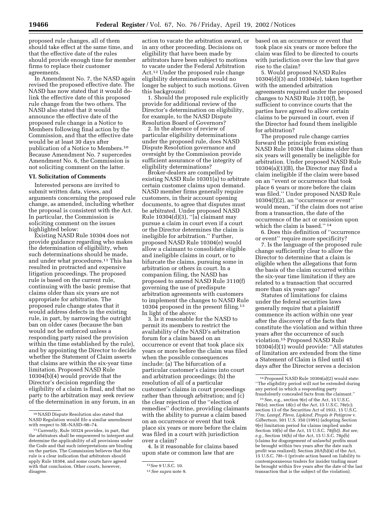proposed rule changes, all of them should take effect at the same time, and that the effective date of the rules should provide enough time for member firms to replace their customer agreements.

In Amendment No. 7, the NASD again revised the proposed effective date. The NASD has now stated that it would delink the effective date of this proposed rule change from the two others. The NASD also stated that it would announce the effective date of the proposed rule change in a Notice to Members following final action by the Commission, and that the effective date would be at least 30 days after publication of a Notice to Members.10 Because Amendment No. 7 supercedes Amendment No. 6, the Commission is not soliciting comment on the latter.

#### **VI. Solicitation of Comments**

Interested persons are invited to submit written data, views, and arguments concerning the proposed rule change, as amended, including whether the proposal is consistent with the Act. In particular, the Commission is soliciting comment on the issues highlighted below:

Existing NASD Rule 10304 does not provide guidance regarding who makes the determination of eligibility, when such determinations should be made, and under what procedures.11 This has resulted in protracted and expensive litigation proceedings. The proposed rule is based on the current rule, continuing with the basic premise that claims older than six years are not appropriate for arbitration. The proposed rule change states that it would address defects in the existing rule, in part, by narrowing the outright ban on older cases (because the ban would not be enforced unless a responding party raised the provision within the time established by the rule), and by appointing the Director to decide whether the Statement of Claim asserts that claims are within the six-year time limitation. Proposed NASD Rule 10304(b)(4) would provide that the Director's decision regarding the eligibility of a claim is final, and that no party to the arbitration may seek review of the determination in any forum, in an

action to vacate the arbitration award, or in any other proceeding. Decisions on eligibility that have been made by arbitrators have been subject to motions to vacate under the Federal Arbitration Act.12 Under the proposed rule change eligibility determinations would no longer be subject to such motions. Given this background:

1. Should the proposed rule explicitly provide for additional review of the Director's determination on eligibility, for example, to the NASD Dispute Resolution Board of Governors?

2. In the absence of review of particular eligibility determinations under the proposed rule, does NASD Dispute Resolution governance and oversight by the Commission provide sufficient assurance of the integrity of eligibility determinations?

Broker-dealers are compelled by existing NASD Rule 10301(a) to arbitrate certain customer claims upon demand. NASD member firms generally require customers, in their account opening documents, to agree that disputes must be arbitrated. Under proposed NASD Rule  $10304(d)(3)$ , "[a] claimant may pursue a claim in court even if a court or the Director determines the claim is ineligible for arbitration.'' Further, proposed NASD Rule 10304(e) would allow a claimant to consolidate eligible and ineligible claims in court, or to bifurcate the claims, pursuing some in arbitration or others in court. In a companion filing, the NASD has proposed to amend NASD Rule 3110(f) governing the use of predispute arbitration agreements with customers to implement the changes to NASD Rule 10304 proposed in the present filing.13 In light of the above:

3. Is it reasonable for the NASD to permit its members to restrict the availability of the NASD's arbitration forum for a claim based on an occurrence or event that took place six years or more before the claim was filed when the possible consequences include: (a) The bifurcation of a particular customer's claims into court and arbitration proceedings; (b) the resolution of all of a particular customer's claims in court proceedings rather than through arbitration; and (c) the clear rejection of the ''election of remedies'' doctrine, providing claimants with the ability to pursue a claim based on an occurrence or event that took place six years or more before the claim was filed in a court with jurisdiction over a claim?

4. Is it reasonable for claims based upon state or common law that are

based on an occurrence or event that took place six years or more before the claim was filed to be directed to courts with jurisdiction over the law that gave rise to the claim?

5. Would proposed NASD Rules 10304(d)(3) and 10304(e), taken together with the amended arbitration agreements required under the proposed changes to NASD Rule 3110(f), be sufficient to convince courts that the parties have agreed to allow certain claims to be pursued in court, even if the Director had found them ineligible for arbitration?

The proposed rule change carries forward the principle from existing NASD Rule 10304 that claims older than six years will generally be ineligible for arbitration. Under proposed NASD Rule 10304(a)(1)(B), the Director may find a claim ineligible if the claim were based on an ''event or occurrence that took place 6 years or more before the claim was filed.'' Under proposed NASD Rule 10304(f)(2), an ''occurrence or event'' would mean, ''if the claim does not arise from a transaction, the date of the occurrence of the act or omission upon which the claim is based.'' 14

6. Does this definition of ''occurrence or event'' require more specificity?

7. Is the language of the proposed rule change sufficiently clear to allow the Director to determine that a claim is eligible when the allegations that form the basis of the claim occurred within the six-year time limitation if they are related to a transaction that occurred more than six years ago?

Statutes of limitations for claims under the federal securities laws generally require that a plaintiff commence its action within one year after the discovery of the facts that constitute the violation and within three years after the occurrence of such violation.15 Proposed NASD Rule 10304(d)(1) would provide: ''All statutes of limitation are extended from the time a Statement of Claim is filed until 45 days after the Director serves a decision

 $^{15}\,$  See, e.g., section 9(e) of the Act, 15 U.S.C. 78i(e); section 18(c) of the Act, 15 U.S.C. 78r(c); section 13 of the Securities Act of 1933, 15 U.S.C. 77m; *Lampf, Pleva, Lipkind, Prupis & Petigrow* v. *Gilbertson,* 501 U.S. 350 (1991) (adopting Section 9(e) limitation period for claims implied under Section 10(b) of the Act, 15 U.S.C. 78j(b)). *But see, e.g.,* Section 16(b) of the Act, 15 U.S.C. 78p(b) (claims for disgorgement of unlawful profits must be brought within two years after the date such profit was realized); Section 20A(b)(4) of the Act, 15 U.S.C. 78t–1 (private action based on liability to contemporaneous traders for insider trading must be brought within five years after the date of the last transaction that is the subject of the violation).

 $\rm ^{10}NASD$  Dispute Resolution also stated that NASD Regulation would file a similar amendment with respect to SR–NASD–98–74.

<sup>11</sup>Currently, Rule 10324 provides, in part, that the arbitrators shall be empowered to interpret and determine the applicability of all provisions under the Code and that such interpretations are binding on the parties. The Commission believes that this rule is a clear indication that arbitrators should apply Rule 10304, and some courts have agreed with that conclusion. Other courts, however, disagree.

<sup>12</sup>*See* 9 U.S.C. 10.

<sup>13</sup>*See supra* note 9.

<sup>14</sup>Proposed NASD Rule 10304(a)(2) would state: ''The eligibility period will not be extended during any period in which a responding party fraudulently concealed facts from the claimant.''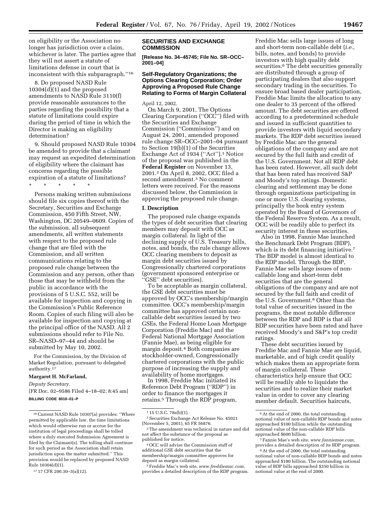on eligibility or the Association no longer has jurisdiction over a claim, whichever is later. The parties agree that they will not assert a statute of limitations defense in court that is inconsistent with this subparagraph.''16

8. Do proposed NASD Rule 10304(d)(1) and the proposed amendments to NASD Rule 3110(f) provide reasonable assurances to the parties regarding the possibility that a statute of limitations could expire during the period of time in which the Director is making an eligibility determination?

9. Should proposed NASD Rule 10304 be amended to provide that a claimant may request an expedited determination of eligibility where the claimant has concerns regarding the possible expiration of a statute of limitations?

\* \* \* \* \*

Persons making written submissions should file six copies thereof with the Secretary, Securities and Exchange Commission, 450 Fifth Street, NW, Washington, DC 20549–0609. Copies of the submission, all subsequent amendments, all written statements with respect to the proposed rule change that are filed with the Commission, and all written communications relating to the proposed rule change between the Commission and any person, other than those that may be withheld from the public in accordance with the provisions of 5 U.S.C. 552, will be available for inspection and copying in the Commission's Public Reference Room. Copies of such filing will also be available for inspection and copying at the principal office of the NASD. All 2 submissions should refer to File No. SR–NASD–97–44 and should be submitted by May 10, 2002.

For the Commission, by the Division of Market Regulation, pursuant to delegated authority.17

#### **Margaret H. McFarland,**

*Deputy Secretary.*

[FR Doc. 02–9586 Filed 4–18–02; 8:45 am] **BILLING CODE 8010–01–P**

## **SECURITIES AND EXCHANGE COMMISSION**

**[Release No. 34–45745; File No. SR–OCC– 2001–04]**

## **Self-Regulatory Organizations; the Options Clearing Corporation; Order Approving a Proposed Rule Change Relating to Forms of Margin Collateral**

#### April 12, 2002.

On March 9, 2001, The Options Clearing Corporation (''OCC'') filed with the Securities and Exchange Commission (''Commission'') and on August 24, 2001, amended proposed rule change SR–OCC–2001–04 pursuant to Section 19(b)(1) of the Securities Exchange Act of 1934 (''Act'').1 Notice of the proposal was published in the **Federal Register** on November 13, 2001.2 On April 8, 2002, OCC filed a second amendment.3 No comment letters were received. For the reasons discussed below, the Commission is approving the proposed rule change.

#### **I. Description**

The proposed rule change expands the types of debt securities that clearing members may deposit with OCC as margin collateral. In light of the declining supply of U.S. Treasury bills, notes, and bonds, the rule change allows OCC clearing members to deposit as margin debt securities issued by Congressionally chartered corporations (government sponsored enterprise or 'GSE'' debt securities).

To be acceptable as margin collateral, the GSE debt securities must be approved by OCC's membership/margin committee. OCC's membership/margin committee has approved certain noncallable debt securities issued by two GSEs, the Federal Home Loan Mortgage Corporation (Freddie Mac) and the Federal National Mortgage Association (Fannie Mae), as being eligible for margin deposit.4 Both companies are stockholder-owned, Congressionally chartered corporations with the public purpose of increasing the supply and availability of home mortgages.

In 1998, Freddie Mac initiated its Reference Debt Program (''RDP'') in order to finance the mortgages it retains.5 Through the RDP program,

4OCC will advise the Commission staff of additional GSE debt securities that the membership/margin committee approves for deposit as margin collateral.

5Freddie Mac's web site, *www.freddiemac.com,* provides a detailed description of the RDP program.

Freddie Mac sells large issues of long and short-term non-callable debt (*i.e.,* bills, notes, and bonds) to provide investors with high quality debt securities.<sup>6</sup> The debt securities generally are distributed through a group of participating dealers that also support secondary trading in the securities. To ensure broad based dealer participation, Freddie Mac limits the allocation to any one dealer to 35 percent of the offered amount. The debt securities are offered according to a predetermined schedule and issued in sufficient quantities to provide investors with liquid secondary markets. The RDP debt securities issued by Freddie Mac are the general obligations of the company and are not secured by the full faith and credit of the U.S. Government. Not all RDP debt has been rated. However, all such debt that has been rated has received S&P and Moody's top ratings. Domestic clearing and settlement may be done through organizations participating in one or more U.S. clearing systems, principally the book entry system operated by the Board of Governors of the Federal Reserve System. As a result, OCC will be readily able to perfect its security interest in these securities.

Also in 1998, Fannie Mae launched the Benchmark Debt Program (BDP), which is its debt financing initiative.<sup>7</sup> The BDP model is almost identical to the RDP model. Through the BDP, Fannie Mae sells large issues of noncallable long and short-term debt securities that are the general obligations of the company and are not secured by the full faith and credit of the U.S. Government.8 Other than the total value of securities issued in the programs, the most notable difference between the RDP and BDP is that all BDP securities have been rated and have received Moody's and S&P's top credit ratings.

These debt securities issued by Freddie Mac and Fannie Mae are liquid, marketable, and of high credit quality which makes them an appropriate form of margin collateral. These characteristics help ensure that OCC will be readily able to liquidate the securities and to realize their market value in order to cover any clearing member default. Securities haircuts,

<sup>16</sup>Current NASD Rule 10307(a) provides: ''Where permitted by applicable law, the time limitations which would otherwise run or accrue for the institution of legal proceedings shall be tolled where a duly executed Submission Agreement is filed by the Claimant(s). The tolling shall continue for such period as the Association shall retain jurisdiction upon the matter submitted.'' This provision would be replaced by proposed NASD Rule 10304(d)(1).

<sup>17</sup> 17 CFR 200.30–3(a)(12).

<sup>1</sup> 15 U.S.C. 78s(b)(1).

<sup>2</sup>Securities Exchange Act Release No. 45021 (November 5, 2001), 65 FR 56876.

<sup>3</sup>The amendment was technical in nature and did not affect the substance of the proposal as published for notice.

<sup>6</sup>At the end of 2000, the total outstanding notional value of non-callable RDP bonds and notes approached \$100 billion while the outstanding notional value of the non-callable RDP bills approached \$600 billion.

<sup>7</sup>Fannie Mae's web site, *www.fanniemae.com,* provides a detailed description of its BDP program.

<sup>8</sup>At the end of 2000, the total outstanding notional value of non-callable BDP bonds and notes approached \$180 billion. The outstanding notional value of BDP bills approached \$350 billion in notional value at the end of 2000.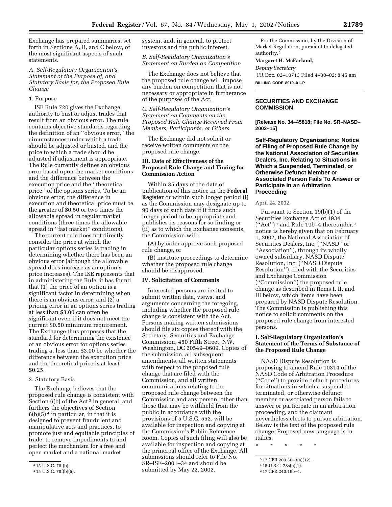Exchange has prepared summaries, set forth in Sections A, B, and C below, of the most significant aspects of such statements.

*A. Self-Regulatory Organization's Statement of the Purpose of, and Statutory Basis for, the Proposed Rule Change*

#### 1. Purpose

ISE Rule 720 gives the Exchange authority to bust or adjust trades that result from an obvious error. The rule contains objective standards regarding the definition of an ''obvious error,'' the circumstances under which a trade should be adjusted or busted, and the price to which a trade should be adjusted if adjustment is appropriate. The Rule currently defines an obvious error based upon the market conditions and the difference between the execution price and the ''theoretical price'' of the options series. To be an obvious error, the difference in execution and theoretical price must be the greater of \$0.50 or two times the allowable spread in regular market conditions (three times the allowable spread in ''fast market'' conditions).

The current rule does not directly consider the price at which the particular options series is trading in determining whether there has been an obvious error (although the allowable spread does increase as an option's price increases). The ISE represents that in administering the Rule, it has found that (1) the price of an option is a significant factor in determining when there is an obvious error; and (2) a pricing error in an options series trading at less than \$3.00 can often be significant even if it does not meet the current \$0.50 minimum requirement. The Exchange thus proposes that the standard for determining the existence of an obvious error for options series trading at less than \$3.00 be whether the difference between the execution price and the theoretical price is at least \$0.25.

# 2. Statutory Basis

The Exchange believes that the proposed rule change is consistent with Section 6(b) of the Act<sup>3</sup> in general, and furthers the objectives of Section  $6(b)(5)^4$  in particular, in that it is designed to prevent fraudulent and manipulative acts and practices, to promote just and equitable principles of trade, to remove impediments to and perfect the mechanism for a free and open market and a national market

system, and, in general, to protect investors and the public interest.

*B. Self-Regulatory Organization's Statement on Burden on Competition*

The Exchange does not believe that the proposed rule change will impose any burden on competition that is not necessary or appropriate in furtherance of the purposes of the Act.

*C. Self-Regulatory Organization's Statement on Comments on the Proposed Rule Change Received From Members, Participants, or Others*

The Exchange did not solicit or receive written comments on the proposed rule change.

#### **III. Date of Effectiveness of the Proposed Rule Change and Timing for Commission Action**

Within 35 days of the date of publication of this notice in the **Federal Register** or within such longer period (i) as the Commission may designate up to 90 days of such date if it finds such longer period to be appropriate and publishes its reasons for so finding or (ii) as to which the Exchange consents, the Commission will:

(A) by order approve such proposed rule change, or

(B) institute proceedings to determine whether the proposed rule change should be disapproved.

## **IV. Solicitation of Comments**

Interested persons are invited to submit written data, views, and arguments concerning the foregoing, including whether the proposed rule change is consistent with the Act. Persons making written submissions should file six copies thereof with the Secretary, Securities and Exchange Commission, 450 Fifth Street, NW, Washington, DC 20549–0609. Copies of the submission, all subsequent amendments, all written statements with respect to the proposed rule change that are filed with the Commission, and all written communications relating to the proposed rule change between the Commission and any person, other than those that may be withheld from the public in accordance with the provisions of 5 U.S.C. 552, will be available for inspection and copying at the Commission's Public Reference Room. Copies of such filing will also be available for inspection and copying at the principal office of the Exchange. All submissions should refer to File No. SR–ISE–2001–34 and should be submitted by May 22, 2002.

For the Commission, by the Division of Market Regulation, pursuant to delegated authority.5

#### **Margaret H. McFarland,**

*Deputy Secretary.* [FR Doc. 02–10713 Filed 4–30–02; 8:45 am] **BILLING CODE 8010–01–P**

#### **SECURITIES AND EXCHANGE COMMISSION**

**[Release No. 34–45818; File No. SR–NASD– 2002–15]**

**Self-Regulatory Organizations; Notice of Filing of Proposed Rule Change by the National Association of Securities Dealers, Inc. Relating to Situations in Which a Suspended, Terminated, or Otherwise Defunct Member or Associated Person Fails To Answer or Participate in an Arbitration Proceeding**

#### April 24, 2002.

Pursuant to Section 19(b)(1) of the Securities Exchange Act of 1934  $("Act")^1$  and Rule 19b-4 thereunder,<sup>2</sup> notice is hereby given that on February 1, 2002, the National Association of Securities Dealers, Inc. (''NASD'' or ''Association''), through its wholly owned subsidiary, NASD Dispute Resolution, Inc. (''NASD Dispute Resolution''), filed with the Securities and Exchange Commission (''Commission'') the proposed rule change as described in Items I, II, and III below, which Items have been prepared by NASD Dispute Resolution. The Commission is publishing this notice to solicit comments on the proposed rule change from interested persons.

## **I. Self-Regulatory Organization's Statement of the Terms of Substance of the Proposed Rule Change**

NASD Dispute Resolution is proposing to amend Rule 10314 of the NASD Code of Arbitration Procedure (''Code'') to provide default procedures for situations in which a suspended, terminated, or otherwise defunct member or associated person fails to answer or participate in an arbitration proceeding, and the claimant nevertheless elects to pursue arbitration. Below is the text of the proposed rule change. Proposed new language is in italics.

\* \* \* \* \*

<sup>3</sup> 15 U.S.C. 78f(b).

<sup>4</sup> 15 U.S.C. 78f(b)(5).

<sup>5</sup> 17 CFR 200.30–3(a)(12).

<sup>1</sup> 15 U.S.C. 78s(b)(1).

<sup>2</sup> 17 CFR 240.19b–4.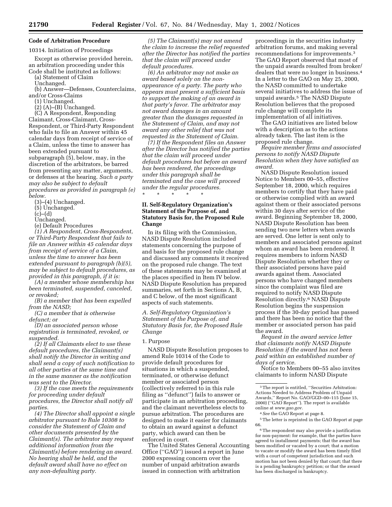# **Code of Arbitration Procedure**

## 10314. Initiation of Proceedings

Except as otherwise provided herein, an arbitration proceeding under this Code shall be instituted as follows:

(a) Statement of Claim

Unchanged.

(b) Answer—Defenses, Counterclaims, and/or Cross-Claims

(1) Unchanged.

(2) (A)–(B) Unchanged.

(C) A Respondent, Responding Claimant, Cross-Claimant, Cross-Respondent, or Third-Party Respondent who fails to file an Answer within 45 calendar days from receipt of service of a Claim, unless the time to answer has been extended pursuant to subparagraph (5), below, may, in the discretion of the arbitrators, be barred from presenting any matter, arguments, or defenses at the hearing. *Such a party may also be subject to default procedures as provided in paragraph (e)*

*below.*

(3)–(4) Unchanged. (5) Unchanged.

(c)–(d)

Unchanged.

(e) Default Procedures

*(1) A Respondent, Cross-Respondent, or Third-Party Respondent that fails to file an Answer within 45 calendar days from receipt of service of a Claim, unless the time to answer has been extended pursuant to paragraph (b)(5), may be subject to default procedures, as provided in this paragraph, if it is:*

*(A) a member whose membership has been terminated, suspended, canceled, or revoked;*

*(B) a member that has been expelled from the NASD;*

*(C) a member that is otherwise defunct; or*

*(D) an associated person whose registration is terminated, revoked, or suspended.*

*(2) If all Claimants elect to use these default procedures, the Claimant(s) shall notify the Director in writing and shall send a copy of such notification to all other parties at the same time and in the same manner as the notification was sent to the Director.*

*(3) If the case meets the requirements for proceeding under default procedures, the Director shall notify all parties.*

*(4) The Director shall appoint a single arbitrator pursuant to Rule 10308 to consider the Statement of Claim and other documents presented by the Claimant(s). The arbitrator may request additional information from the Claimant(s) before rendering an award. No hearing shall be held, and the default award shall have no effect on any non-defaulting party.*

*(5) The Claimant(s) may not amend the claim to increase the relief requested after the Director has notified the parties that the claim will proceed under default procedures.*

*(6) An arbitrator may not make an award based solely on the nonappearance of a party. The party who appears must present a sufficient basis to support the making of an award in that party's favor. The arbitrator may not award damages in an amount greater than the damages requested in the Statement of Claim, and may not award any other relief that was not requested in the Statement of Claim.*

*(7) If the Respondent files an Answer after the Director has notified the parties that the claim will proceed under default procedures but before an award has been rendered, the proceedings under this paragraph shall be terminated and the case will proceed under the regular procedures.* \* \* \* \* \*

# **II. Self-Regulatory Organization's Statement of the Purpose of, and Statutory Basis for, the Proposed Rule Change**

In its filing with the Commission, NASD Dispute Resolution included statements concerning the purpose of and basis for the proposed rule change and discussed any comments it received on the proposed rule change. The text of these statements may be examined at the places specified in Item IV below. NASD Dispute Resolution has prepared summaries, set forth in Sections A, B, and C below, of the most significant aspects of such statements.

*A. Self-Regulatory Organization's Statement of the Purpose of, and Statutory Basis for, the Proposed Rule Change*

## 1. Purpose

NASD Dispute Resolution proposes to amend Rule 10314 of the Code to provide default procedures for situations in which a suspended, terminated, or otherwise defunct member or associated person (collectively referred to in this rule filing as ''defunct'') fails to answer or participate in an arbitration proceeding, and the claimant nevertheless elects to pursue arbitration. The procedures are designed to make it easier for claimants to obtain an award against a defunct party, which award can then be enforced in court.

The United States General Accounting Office (''GAO'') issued a report in June 2000 expressing concern over the number of unpaid arbitration awards issued in connection with arbitration

proceedings in the securities industry arbitration forums, and making several recommendations for improvements.3 The GAO Report observed that most of the unpaid awards resulted from broker/ dealers that were no longer in business.4 In a letter to the GAO on May 25, 2000, the NASD committed to undertake several initiatives to address the issue of unpaid awards.5 The NASD Dispute Resolution believes that the proposed rule change will complete its implementation of all initiatives.

The GAO initiatives are listed below with a description as to the actions already taken. The last item is the proposed rule change.

*Require member firms and associated persons to notify NASD Dispute Resolution when they have satisfied an award.*

NASD Dispute Resolution issued Notice to Members 00–55, effective September 18, 2000, which requires members to certify that they have paid or otherwise complied with an award against them or their associated persons within 30 days after service of the award. Beginning September 18, 2000, NASD Dispute Resolution has been sending two new letters when awards are served. One letter is sent only to members and associated persons against whom an award has been rendered. It requires members to inform NASD Dispute Resolution whether they or their associated persons have paid awards against them. Associated persons who have changed members since the complaint was filed are required to notify NASD Dispute Resolution directly.6 NASD Dispute Resolution begins the suspension process if the 30-day period has passed and there has been no notice that the member or associated person has paid the award.

*Request in the award service letter that claimants notify NASD Dispute Resolution if the award has not been paid within an established number of days of service.*

Notice to Members 00–55 also invites claimants to inform NASD Dispute

 $^{\rm 3}$  The report is entitled, ''Securities Arbitration: Actions Needed to Address Problem of Unpaid Awards,'' Report No. GAO/GGD–00–115 (June 15, 2000) (''GAO Report''). The report is available online at *www.gao.gov.*

<sup>4</sup>*See* the GAO Report at page 8.

<sup>5</sup>The letter is reprinted in the GAO Report at page 66.

<sup>6</sup>The respondent may also provide a justification for non-payment: for example, that the parties have agreed to installment payments; that the award has been modified or vacated by a court; that a motion to vacate or modify the award has been timely filed with a court of competent jurisdiction and such motion has not been denied by that court; that there is a pending bankruptcy petition; or that the award has been discharged in bankruptcy.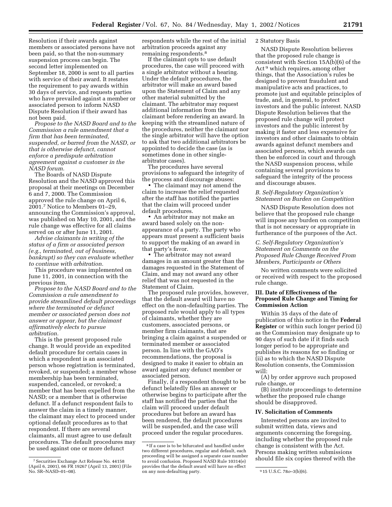Resolution if their awards against members or associated persons have not been paid, so that the non-summary suspension process can begin. The second letter implemented on September 18, 2000 is sent to all parties with service of their award. It restates the requirement to pay awards within 30 days of service, and requests parties who have prevailed against a member or associated person to inform NASD Dispute Resolution if their award has not been paid.

*Propose to the NASD Board and to the Commission a rule amendment that a firm that has been terminated, suspended, or barred from the NASD, or that is otherwise defunct, cannot enforce a predispute arbitration agreement against a customer in the NASD forum.*

The Boards of NASD Dispute Resolution and the NASD approved this proposal at their meetings on December 6 and 7, 2000. The Commission approved the rule change on April 6, 2001.7 Notice to Members 01–29, announcing the Commission's approval, was published on May 10, 2001, and the rule change was effective for all claims served on or after June 11, 2001.

*Advise claimants in writing of the status of a firm or associated person (e.g., terminated, out of business, bankrupt) so they can evaluate whether to continue with arbitration.*

This procedure was implemented on June 11, 2001, in connection with the previous item.

*Propose to the NASD Board and to the Commission a rule amendment to provide streamlined default proceedings where the terminated or defunct member or associated person does not answer or appear, but the claimant affirmatively elects to pursue arbitration.*

This is the present proposed rule change. It would provide an expedited default procedure for certain cases in which a respondent is an associated person whose registration is terminated, revoked, or suspended; a member whose membership has been terminated, suspended, canceled, or revoked; a member that has been expelled from the NASD; or a member that is otherwise defunct. If a defunct respondent fails to answer the claim in a timely manner, the claimant may elect to proceed under optional default procedures as to that respondent. If there are several claimants, all must agree to use default procedures. The default procedures may be used against one or more defunct

respondents while the rest of the initial arbitration proceeds against any remaining respondents.8

If the claimant opts to use default procedures, the case will proceed with a single arbitrator without a hearing. Under the default procedures, the arbitrator will make an award based upon the Statement of Claim and any other material submitted by the claimant. The arbitrator may request additional information from the claimant before rendering an award. In keeping with the streamlined nature of the procedures, neither the claimant nor the single arbitrator will have the option to ask that two additional arbitrators be appointed to decide the case (as is sometimes done in other singlearbitrator cases).

The procedures have several provisions to safeguard the integrity of the process and discourage abuses:

• The claimant may not amend the claim to increase the relief requested after the staff has notified the parties that the claim will proceed under default procedures.

• An arbitrator may not make an award based solely on the nonappearance of a party. The party who appears must present a sufficient basis to support the making of an award in that party's favor.

• The arbitrator may not award damages in an amount greater than the damages requested in the Statement of Claim, and may not award any other relief that was not requested in the Statement of Claim.

The proposed rule provides, however, that the default award will have no effect on the non-defaulting parties. The proposed rule would apply to all types of claimants, whether they are customers, associated persons, or member firm claimants, that are bringing a claim against a suspended or terminated member or associated person. In line with the GAO's recommendations, the proposal is designed to make it easier to obtain an award against any defunct member or associated person.

Finally, if a respondent thought to be defunct belatedly files an answer or otherwise begins to participate after the staff has notified the parties that the claim will proceed under default procedures but before an award has been rendered, the default procedures will be suspended, and the case will proceed under the regular procedures.

## 2 Statutory Basis

NASD Dispute Resolution believes that the proposed rule change is consistent with Section 15A(b)(6) of the Act 9 which requires, among other things, that the Association's rules be designed to prevent fraudulent and manipulative acts and practices, to promote just and equitable principles of trade, and, in general, to protect investors and the public interest. NASD Dispute Resolution believes that the proposed rule change will protect investors and the public interest by making it faster and less expensive for investors and other claimants to obtain awards against defunct members and associated persons, which awards can then be enforced in court and through the NASD suspension process, while containing several provisions to safeguard the integrity of the process and discourage abuses.

## *B. Self-Regulatory Organization's Statement on Burden on Competition*

NASD Dispute Resolution does not believe that the proposed rule change will impose any burden on competition that is not necessary or appropriate in furtherance of the purposes of the Act.

## *C. Self-Regulatory Organization's Statement on Comments on the Proposed Rule Change Received From Members, Participants or Others*

No written comments were solicited or received with respect to the proposed rule change.

## **III. Date of Effectiveness of the Proposed Rule Change and Timing for Commission Action**

Within 35 days of the date of publication of this notice in the **Federal Register** or within such longer period (i) as the Commission may designate up to 90 days of such date if it finds such longer period to be appropriate and publishes its reasons for so finding or (ii) as to which the NASD Dispute Resolution consents, the Commission will:

(A) by order approve such proposed rule change, or

(B) institute proceedings to determine whether the proposed rule change should be disapproved.

## **IV. Solicitation of Comments**

Interested persons are invited to submit written data, views and arguments concerning the foregoing, including whether the proposed rule change is consistent with the Act. Persons making written submissions should file six copies thereof with the

<sup>7</sup>Securities Exchange Act Release No. 44158 (April 6, 2001), 66 FR 19267 (April 13, 2001) (File No. SR–NASD–01–08).

<sup>8</sup> If a case is to be bifurcated and handled under two different procedures, regular and default, each proceeding will be assigned a separate case number to avoid confusion. Proposed NASD Rule 10314(e) provides that the default award will have no effect <sup>1</sup> on any non-defaulting party. 915 U.S.C. 780-3(b)(6).